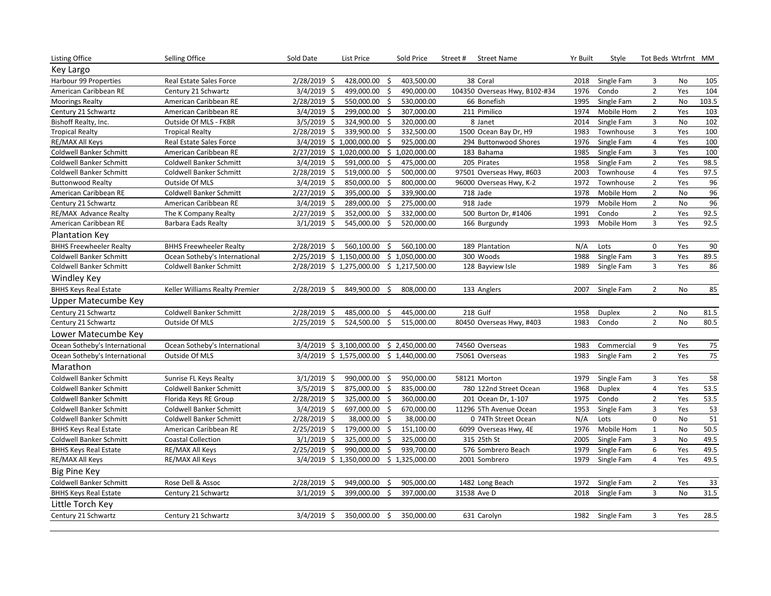| <b>Listing Office</b>          | Selling Office                 | Sold Date      | List Price                |     | Sold Price     | Street#<br><b>Street Name</b> | Yr Built | Style           | Tot Beds Wtrfrnt MM |           |       |
|--------------------------------|--------------------------------|----------------|---------------------------|-----|----------------|-------------------------------|----------|-----------------|---------------------|-----------|-------|
| Key Largo                      |                                |                |                           |     |                |                               |          |                 |                     |           |       |
| Harbour 99 Properties          | Real Estate Sales Force        | $2/28/2019$ \$ | 428,000.00                |     | 403,500.00     | 38 Coral                      | 2018     | Single Fam      | 3                   | No        | 105   |
| American Caribbean RE          | Century 21 Schwartz            | $3/4/2019$ \$  | 499,000.00                | -\$ | 490,000.00     | 104350 Overseas Hwy, B102-#34 | 1976     | Condo           | $\overline{2}$      | Yes       | 104   |
| <b>Moorings Realty</b>         | American Caribbean RE          | $2/28/2019$ \$ | 550,000.00                | Ŝ   | 530,000.00     | 66 Bonefish                   | 1995     | Single Fam      | $\overline{2}$      | No        | 103.5 |
| Century 21 Schwartz            | American Caribbean RE          | $3/4/2019$ \$  | 299,000.00                |     | 307,000.00     | 211 Pimilico                  | 1974     | Mobile Hom      | $\overline{2}$      | Yes       | 103   |
| Bishoff Realty, Inc.           | Outside Of MLS - FKBR          | $3/5/2019$ \$  | 324,900.00                | -Ś  | 320,000.00     | 8 Janet                       | 2014     | Single Fam      | 3                   | No        | 102   |
| <b>Tropical Realty</b>         | <b>Tropical Realty</b>         | 2/28/2019 \$   | 339,900.00                | Ŝ.  | 332,500.00     | 1500 Ocean Bay Dr, H9         | 1983     | Townhouse       | 3                   | Yes       | 100   |
| RE/MAX All Keys                | Real Estate Sales Force        |                | 3/4/2019 \$ 1,000,000.00  | Ŝ.  | 925,000.00     | 294 Buttonwood Shores         | 1976     | Single Fam      | $\overline{4}$      | Yes       | 100   |
| Coldwell Banker Schmitt        | American Caribbean RE          |                | 2/27/2019 \$ 1,020,000.00 |     | \$1,020,000.00 | 183 Bahama                    | 1985     | Single Fam      | $\overline{3}$      | Yes       | 100   |
| Coldwell Banker Schmitt        | Coldwell Banker Schmitt        | $3/4/2019$ \$  | 591,000.00                | \$  | 475,000.00     | 205 Pirates                   | 1958     | Single Fam      | $\overline{2}$      | Yes       | 98.5  |
| Coldwell Banker Schmitt        | Coldwell Banker Schmitt        | 2/28/2019 \$   | 519,000.00                | \$  | 500,000.00     | 97501 Overseas Hwy, #603      | 2003     | Townhouse       | $\overline{4}$      | Yes       | 97.5  |
| <b>Buttonwood Realty</b>       | Outside Of MLS                 | $3/4/2019$ \$  | 850,000.00                | \$  | 800,000.00     | 96000 Overseas Hwy, K-2       | 1972     | Townhouse       | $\overline{2}$      | Yes       | 96    |
| American Caribbean RE          | <b>Coldwell Banker Schmitt</b> | $2/27/2019$ \$ | 395,000.00                | .s  | 339,900.00     | 718 Jade                      | 1978     | Mobile Hom      | $\overline{2}$      | No        | 96    |
| Century 21 Schwartz            | American Caribbean RE          | 3/4/2019 \$    | 289,000.00                | \$  | 275,000.00     | 918 Jade                      | 1979     | Mobile Hom      | $\overline{2}$      | No        | 96    |
| RE/MAX Advance Realty          | The K Company Realty           | $2/27/2019$ \$ | 352,000.00                | -\$ | 332,000.00     | 500 Burton Dr, #1406          | 1991     | Condo           | $\overline{2}$      | Yes       | 92.5  |
| American Caribbean RE          | Barbara Eads Realty            | $3/1/2019$ \$  | 545,000.00                | -\$ | 520,000.00     | 166 Burgundy                  | 1993     | Mobile Hom      | 3                   | Yes       | 92.5  |
| <b>Plantation Key</b>          |                                |                |                           |     |                |                               |          |                 |                     |           |       |
| <b>BHHS Freewheeler Realty</b> | <b>BHHS Freewheeler Realty</b> | $2/28/2019$ \$ | 560,100.00                | \$  | 560,100.00     | 189 Plantation                | N/A      | Lots            | $\mathbf 0$         | Yes       | 90    |
| Coldwell Banker Schmitt        | Ocean Sotheby's International  |                | 2/25/2019 \$ 1,150,000.00 |     | \$1,050,000.00 | 300 Woods                     | 1988     | Single Fam      | $\overline{3}$      | Yes       | 89.5  |
| Coldwell Banker Schmitt        | <b>Coldwell Banker Schmitt</b> |                | 2/28/2019 \$ 1,275,000.00 |     | \$1,217,500.00 | 128 Bayview Isle              | 1989     | Single Fam      | 3                   | Yes       | 86    |
| <b>Windley Key</b>             |                                |                |                           |     |                |                               |          |                 |                     |           |       |
| <b>BHHS Keys Real Estate</b>   | Keller Williams Realty Premier | 2/28/2019 \$   | 849,900.00                | \$  | 808,000.00     | 133 Anglers                   | 2007     | Single Fam      | $\overline{2}$      | No        | 85    |
| Upper Matecumbe Key            |                                |                |                           |     |                |                               |          |                 |                     |           |       |
| Century 21 Schwartz            | <b>Coldwell Banker Schmitt</b> | 2/28/2019 \$   | 485,000.00                | -Ś  | 445,000.00     | 218 Gulf                      | 1958     | <b>Duplex</b>   | $\overline{2}$      | No        | 81.5  |
| Century 21 Schwartz            | Outside Of MLS                 | 2/25/2019 \$   | 524,500.00                | Ś.  | 515,000.00     | 80450 Overseas Hwy, #403      | 1983     | Condo           | $\overline{2}$      | <b>No</b> | 80.5  |
| Lower Matecumbe Key            |                                |                |                           |     |                |                               |          |                 |                     |           |       |
| Ocean Sotheby's International  | Ocean Sotheby's International  |                | 3/4/2019 \$ 3,100,000.00  |     | \$2,450,000.00 | 74560 Overseas                | 1983     | Commercial      | 9                   | Yes       | 75    |
| Ocean Sotheby's International  | Outside Of MLS                 |                | 3/4/2019 \$1,575,000.00   |     | \$1,440,000.00 | 75061 Overseas                | 1983     | Single Fam      | $\overline{2}$      | Yes       | 75    |
| Marathon                       |                                |                |                           |     |                |                               |          |                 |                     |           |       |
| <b>Coldwell Banker Schmitt</b> | Sunrise FL Keys Realty         | $3/1/2019$ \$  | 990,000.00                | S   | 950,000.00     | 58121 Morton                  | 1979     | Single Fam      | 3                   | Yes       | 58    |
| Coldwell Banker Schmitt        | <b>Coldwell Banker Schmitt</b> | $3/5/2019$ \$  | 875,000.00                | .s  | 835,000.00     | 780 122nd Street Ocean        | 1968     | <b>Duplex</b>   | $\overline{4}$      | Yes       | 53.5  |
| Coldwell Banker Schmitt        | Florida Keys RE Group          | 2/28/2019 \$   | 325,000.00 \$             |     | 360,000.00     | 201 Ocean Dr, 1-107           | 1975     | Condo           | $\overline{2}$      | Yes       | 53.5  |
| Coldwell Banker Schmitt        | <b>Coldwell Banker Schmitt</b> | 3/4/2019 \$    | 697,000.00                | Ŝ.  | 670,000.00     | 11296 5Th Avenue Ocean        | 1953     | Single Fam      | $\overline{3}$      | Yes       | 53    |
| Coldwell Banker Schmitt        | <b>Coldwell Banker Schmitt</b> | 2/28/2019 \$   | 38,000.00                 | -Ś  | 38,000.00      | 0 74Th Street Ocean           | N/A      | Lots            | $\mathbf 0$         | No        | 51    |
| <b>BHHS Keys Real Estate</b>   | American Caribbean RE          | 2/25/2019 \$   | 179,000.00                | \$  | 151,100.00     | 6099 Overseas Hwy, 4E         | 1976     | Mobile Hom      | $\mathbf 1$         | <b>No</b> | 50.5  |
| Coldwell Banker Schmitt        | <b>Coastal Collection</b>      | $3/1/2019$ \$  | 325,000.00                | -Ś  | 325,000.00     | 315 25th St                   | 2005     | Single Fam      | 3                   | No        | 49.5  |
| <b>BHHS Keys Real Estate</b>   | RE/MAX All Keys                | 2/25/2019 \$   | 990,000.00                | Ŝ.  | 939,700.00     | 576 Sombrero Beach            | 1979     | Single Fam      | 6                   | Yes       | 49.5  |
| RE/MAX All Keys                | RE/MAX All Keys                |                | 3/4/2019 \$ 1,350,000.00  |     | \$1,325,000.00 | 2001 Sombrero                 | 1979     | Single Fam      | 4                   | Yes       | 49.5  |
| <b>Big Pine Key</b>            |                                |                |                           |     |                |                               |          |                 |                     |           |       |
| <b>Coldwell Banker Schmitt</b> | Rose Dell & Assoc              | 2/28/2019 \$   | 949,000.00                |     | 905,000.00     | 1482 Long Beach               | 1972     | Single Fam      | $\overline{2}$      | Yes       | 33    |
| <b>BHHS Keys Real Estate</b>   | Century 21 Schwartz            | $3/1/2019$ \$  | 399,000.00                | Ŝ.  | 397,000.00     | 31538 Ave D                   | 2018     | Single Fam      | 3                   | No        | 31.5  |
| Little Torch Key               |                                |                |                           |     |                |                               |          |                 |                     |           |       |
| Century 21 Schwartz            | Century 21 Schwartz            | $3/4/2019$ \$  | 350,000.00 \$             |     | 350,000.00     | 631 Carolyn                   |          | 1982 Single Fam | $\overline{3}$      | Yes       | 28.5  |
|                                |                                |                |                           |     |                |                               |          |                 |                     |           |       |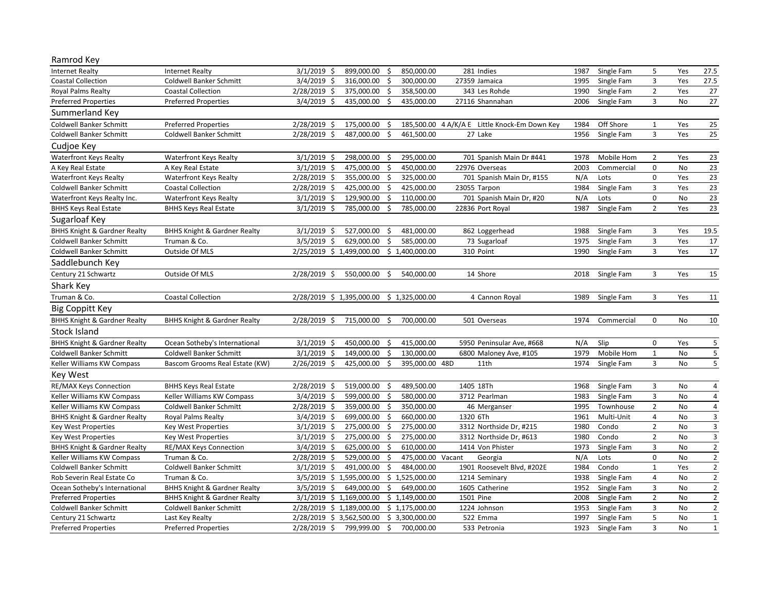| Ramrod Key                              |                                         |                                                                                                           |                |           |                 |
|-----------------------------------------|-----------------------------------------|-----------------------------------------------------------------------------------------------------------|----------------|-----------|-----------------|
| <b>Internet Realty</b>                  | <b>Internet Realty</b>                  | 3/1/2019<br>899,000.00<br>850,000.00<br>281 Indies<br>Single Fam<br>Ŝ.<br>Ŝ.<br>1987                      | 5              | Yes       | 27.5            |
| <b>Coastal Collection</b>               | <b>Coldwell Banker Schmitt</b>          | $3/4/2019$ \$<br>316,000.00<br>300,000.00<br>27359 Jamaica<br>1995<br>Single Fam<br>Ś                     | $\mathsf 3$    | Yes       | 27.5            |
| <b>Royal Palms Realty</b>               | <b>Coastal Collection</b>               | 2/28/2019 \$<br>375,000.00<br>Ŝ.<br>358,500.00<br>343 Les Rohde<br>1990<br>Single Fam                     | $\overline{2}$ | Yes       | 27              |
| <b>Preferred Properties</b>             | <b>Preferred Properties</b>             | $3/4/2019$ \$<br>435,000.00<br>\$<br>435,000.00<br>27116 Shannahan<br>2006<br>Single Fam                  | 3              | No        | $27$            |
| Summerland Key                          |                                         |                                                                                                           |                |           |                 |
| Coldwell Banker Schmitt                 | <b>Preferred Properties</b>             | Off Shore<br>175,000.00<br>185,500.00 4 A/K/A E Little Knock-Em Down Key<br>1984<br>$2/28/2019$ \$<br>\$. | 1              | Yes       | 25              |
| <b>Coldwell Banker Schmitt</b>          | <b>Coldwell Banker Schmitt</b>          | 2/28/2019 \$<br>487.000.00<br>Ŝ.<br>461.500.00<br>27 Lake<br>1956<br>Single Fam                           | 3              | Yes       | 25              |
| Cudioe Key                              |                                         |                                                                                                           |                |           |                 |
| <b>Waterfront Keys Realty</b>           | <b>Waterfront Keys Realty</b>           | $3/1/2019$ \$<br>298,000.00<br>295,000.00<br>701 Spanish Main Dr #441<br>1978<br>Mobile Hom<br>-S         | $\overline{2}$ | Yes       | 23              |
| A Key Real Estate                       | A Key Real Estate                       | $3/1/2019$ \$<br>475,000.00<br>\$<br>450,000.00<br>22976 Overseas<br>2003<br>Commercial                   | 0              | No        | $\overline{23}$ |
| <b>Waterfront Keys Realty</b>           | <b>Waterfront Keys Realty</b>           | 2/28/2019 \$<br>355,000.00<br>Ŝ.<br>325,000.00<br>701 Spanish Main Dr, #155<br>N/A<br>Lots                | $\mathsf 0$    | Yes       | 23              |
| Coldwell Banker Schmitt                 | <b>Coastal Collection</b>               | $2/28/2019$ \$<br>425,000.00<br>\$<br>425,000.00<br>23055 Tarpon<br>1984<br>Single Fam                    | $\mathsf 3$    | Yes       | $\overline{23}$ |
| Waterfront Keys Realty Inc.             | <b>Waterfront Keys Realty</b>           | $3/1/2019$ \$<br>129,900.00<br>Ŝ.<br>110,000.00<br>701 Spanish Main Dr, #20<br>N/A<br>Lots                | 0              | <b>No</b> | 23              |
| <b>BHHS Keys Real Estate</b>            | <b>BHHS Keys Real Estate</b>            | $3/1/2019$ \$<br>785,000.00<br>\$<br>785,000.00<br>1987<br>Single Fam<br>22836 Port Royal                 | $\overline{2}$ | Yes       | 23              |
| Sugarloaf Key                           |                                         |                                                                                                           |                |           |                 |
| <b>BHHS Knight &amp; Gardner Realty</b> | <b>BHHS Knight &amp; Gardner Realty</b> | $3/1/2019$ \$<br>527,000.00<br>481,000.00<br>862 Loggerhead<br>1988<br>Single Fam<br>\$.                  | 3              | Yes       | 19.5            |
| <b>Coldwell Banker Schmitt</b>          | Truman & Co.                            | $3/5/2019$ \$<br>629,000.00<br>\$<br>585,000.00<br>73 Sugarloaf<br>1975<br>Single Fam                     | 3              | Yes       | 17              |
| Coldwell Banker Schmitt                 | Outside Of MLS                          | \$1,400,000.00<br>2/25/2019 \$ 1,499,000.00<br>310 Point<br>Single Fam<br>1990                            | 3              | Yes       | 17              |
| Saddlebunch Key                         |                                         |                                                                                                           |                |           |                 |
| Century 21 Schwartz                     | Outside Of MLS                          | 2/28/2019 \$<br>550,000.00<br>\$<br>540,000.00<br>14 Shore<br>2018<br>Single Fam                          | 3              | Yes       | 15              |
| Shark Key                               |                                         |                                                                                                           |                |           |                 |
| Truman & Co.                            | <b>Coastal Collection</b>               | 2/28/2019 \$ 1,395,000.00<br>\$1,325,000.00<br>4 Cannon Royal<br>1989<br>Single Fam                       | 3              | Yes       | 11              |
| <b>Big Coppitt Key</b>                  |                                         |                                                                                                           |                |           |                 |
| <b>BHHS Knight &amp; Gardner Realty</b> | <b>BHHS Knight &amp; Gardner Realty</b> | 2/28/2019 \$<br>715,000.00<br>\$<br>700,000.00<br>501 Overseas<br>1974<br>Commercial                      | $\mathbf 0$    | <b>No</b> | 10              |
| <b>Stock Island</b>                     |                                         |                                                                                                           |                |           |                 |
| <b>BHHS Knight &amp; Gardner Realty</b> | Ocean Sotheby's International           | $3/1/2019$ \$<br>450,000.00<br>415,000.00<br>Slip<br>\$<br>5950 Peninsular Ave, #668<br>N/A               | 0              | Yes       | 5               |
| Coldwell Banker Schmitt                 | <b>Coldwell Banker Schmitt</b>          | $3/1/2019$ \$<br>149,000.00<br>Ŝ.<br>130,000.00<br>6800 Maloney Ave, #105<br>1979<br>Mobile Hom           | $\mathbf 1$    | <b>No</b> | $\sqrt{5}$      |
| Keller Williams KW Compass              | Bascom Grooms Real Estate (KW)          | 2/26/2019 \$<br>395,000.00 48D<br>425,000.00<br>Ŝ.<br>11th<br>1974<br>Single Fam                          | $\overline{3}$ | No        | 5               |
| <b>Key West</b>                         |                                         |                                                                                                           |                |           |                 |
| RE/MAX Keys Connection                  | <b>BHHS Keys Real Estate</b>            | 2/28/2019 \$<br>519,000.00<br>489,500.00<br>1405 18Th<br>\$<br>1968<br>Single Fam                         | 3              | No        | $\overline{4}$  |
| Keller Williams KW Compass              | Keller Williams KW Compass              | $3/4/2019$ \$<br>599,000.00<br>\$<br>580,000.00<br>3712 Pearlman<br>1983<br>Single Fam                    | 3              | <b>No</b> | $\overline{4}$  |
| Keller Williams KW Compass              | Coldwell Banker Schmitt                 | 350,000.00<br>2/28/2019 \$<br>359,000.00<br>Ŝ.<br>46 Merganser<br>1995<br>Townhouse                       | $\overline{2}$ | No        | 4               |
| <b>BHHS Knight &amp; Gardner Realty</b> | <b>Royal Palms Realty</b>               | $3/4/2019$ \$<br>699,000.00<br>660,000.00<br>Multi-Unit<br>\$<br>1320 6Th<br>1961                         | $\overline{4}$ | <b>No</b> | $\mathsf 3$     |
| Key West Properties                     | <b>Key West Properties</b>              | $3/1/2019$ \$<br>275,000.00<br>275,000.00<br>3312 Northside Dr, #215<br>Ś.<br>1980<br>Condo               | $\overline{2}$ | <b>No</b> | 3               |
| Key West Properties                     | <b>Key West Properties</b>              | $3/1/2019$ \$<br>275,000.00<br>\$<br>275,000.00<br>3312 Northside Dr, #613<br>1980<br>Condo               | $\overline{2}$ | No        | 3               |
| <b>BHHS Knight &amp; Gardner Realty</b> | RE/MAX Keys Connection                  | $3/4/2019$ \$<br>625,000.00<br>610,000.00<br>1414 Von Phister<br>1973<br>Ŝ.<br>Single Fam                 | 3              | No        | $\overline{2}$  |
| Keller Williams KW Compass              | Truman & Co.                            | 2/28/2019 \$<br>529,000.00<br>\$<br>475,000.00 Vacant<br>N/A<br>Georgia<br>Lots                           | $\mathbf 0$    | <b>No</b> | $\overline{2}$  |
| Coldwell Banker Schmitt                 | Coldwell Banker Schmitt                 | $3/1/2019$ \$<br>491,000.00<br>\$<br>484,000.00<br>1901 Roosevelt Blvd, #202E<br>1984<br>Condo            | $\mathbf{1}$   | Yes       | $\overline{2}$  |
| Rob Severin Real Estate Co              | Truman & Co.                            | 3/5/2019 \$ 1,595,000.00<br>\$1,525,000.00<br>1214 Seminary<br>1938<br>Single Fam                         | $\sqrt{4}$     | <b>No</b> | $\overline{2}$  |
| Ocean Sotheby's International           | <b>BHHS Knight &amp; Gardner Realty</b> | $3/5/2019$ \$<br>649,000.00<br>\$<br>649,000.00<br>1605 Catherine<br>1952<br>Single Fam                   | 3              | No        | $\overline{2}$  |
| <b>Preferred Properties</b>             | <b>BHHS Knight &amp; Gardner Realty</b> | 3/1/2019 \$ 1,169,000.00<br>\$1,149,000.00<br>1501 Pine<br>2008<br>Single Fam                             | $\overline{2}$ | No        | $\overline{2}$  |
| Coldwell Banker Schmitt                 | Coldwell Banker Schmitt                 | 2/28/2019 \$ 1,189,000.00<br>1224 Johnson<br>1953<br>\$1,175,000.00<br>Single Fam                         | 3              | No        | $\overline{2}$  |
| Century 21 Schwartz                     | Last Key Realty                         | 2/28/2019 \$3,562,500.00<br>522 Emma<br>1997<br>\$3,300,000.00<br>Single Fam                              | 5              | No        | $\mathbf 1$     |
| <b>Preferred Properties</b>             | <b>Preferred Properties</b>             | 799,999.00<br>\$<br>1923 Single Fam<br>$2/28/2019$ \$<br>700,000.00<br>533 Petronia                       | $\overline{3}$ | <b>No</b> | $\mathbf{1}$    |